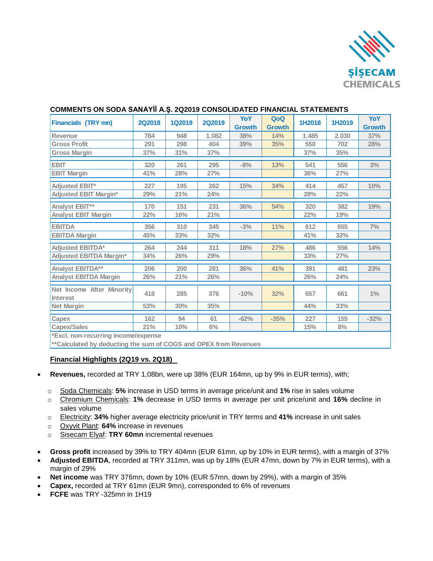

| <b>Financials (TRY mn)</b>                   | <b>2Q2018</b> | <b>1Q2019</b> | <b>2Q2019</b> | YoY<br><b>Growth</b> | QoQ<br><b>Growth</b> | 1H2018 | 1H2019 | YoY<br><b>Growth</b> |
|----------------------------------------------|---------------|---------------|---------------|----------------------|----------------------|--------|--------|----------------------|
| Revenue                                      | 784           | 948           | 1.082         | 38%                  | 14%                  | 1.485  | 2.030  | 37%                  |
| <b>Gross Profit</b>                          | 291           | 298           | 404           | 39%                  | 35%                  | 550    | 702    | 28%                  |
| <b>Gross Margin</b>                          | 37%           | 31%           | 37%           |                      |                      | 37%    | 35%    |                      |
| <b>EBIT</b>                                  | 320           | 261           | 295           | $-8%$                | 13%                  | 541    | 556    | 3%                   |
| <b>EBIT Margin</b>                           | 41%           | 28%           | 27%           |                      |                      | 36%    | 27%    |                      |
| <b>Adjusted EBIT*</b>                        | 227           | 195           | 262           | 15%                  | 34%                  | 414    | 457    | 10%                  |
| <b>Adjusted EBIT Margin*</b>                 | 29%           | 21%           | 24%           |                      |                      | 28%    | 22%    |                      |
| Analyst EBIT**                               | 170           | 151           | 231           | 36%                  | 54%                  | 320    | 382    | 19%                  |
| <b>Analyst EBIT Margin</b>                   | 22%           | 16%           | 21%           |                      |                      | 22%    | 19%    |                      |
| <b>EBITDA</b>                                | 356           | 310           | 345           | $-3%$                | 11%                  | 612    | 655    | 7%                   |
| <b>EBITDA Margin</b>                         | 45%           | 33%           | 32%           |                      |                      | 41%    | 32%    |                      |
| <b>Adjusted EBITDA*</b>                      | 264           | 244           | 311           | 18%                  | 27%                  | 486    | 556    | 14%                  |
| <b>Adjusted EBITDA Margin*</b>               | 34%           | 26%           | 29%           |                      |                      | 33%    | 27%    |                      |
| Analyst EBITDA**                             | 206           | 200           | 281           | 36%                  | 41%                  | 391    | 481    | 23%                  |
| <b>Analyst EBITDA Margin</b>                 | 26%           | 21%           | 26%           |                      |                      | 26%    | 24%    |                      |
| Net Income After Minority<br><b>Interest</b> | 418           | 285           | 376           | $-10%$               | 32%                  | 657    | 661    | $1\%$                |
| <b>Net Margin</b>                            | 53%           | 30%           | 35%           |                      |                      | 44%    | 33%    |                      |
| Capex                                        | 162           | 94            | 61            | $-62%$               | $-35%$               | 227    | 155    | $-32%$               |
| <b>Capex/Sales</b>                           | 21%           | 10%           | 6%            |                      |                      | 15%    | 8%     |                      |
| *Excl. non-recurring income/expense          |               |               |               |                      |                      |        |        |                      |

## **COMMENTS ON SODA SANAYİİ A.Ş. 2Q2019 CONSOLIDATED FINANCIAL STATEMENTS**

**\*\*Calculated by deducting the sum of COGS and OPEX from Revenues** 

#### **Financial Highlights (2Q19 vs. 2Q18)**

- **Revenues,** recorded at TRY 1,08bn, were up 38% (EUR 164mn, up by 9% in EUR terms), with;
	- o Soda Chemicals: **5%** increase in USD terms in average price/unit and **1%** rise in sales volume
	- o Chromium Chemicals: **1%** decrease in USD terms in average per unit price/unit and **16%** decline in sales volume
	- o Electricity: **34%** higher average electricity price/unit in TRY terms and **41%** increase in unit sales
	- o Oxyvit Plant: **64%** increase in revenues
	- o Sisecam Elyaf: **TRY 60mn** incremental revenues
- **Gross profit** increased by 39% to TRY 404mn (EUR 61mn, up by 10% in EUR terms), with a margin of 37%
- **Adjusted EBITDA**, recorded at TRY 311mn, was up by 18% (EUR 47mn, down by 7% in EUR terms), with a margin of 29%
- **Net income** was TRY 376mn, down by 10% (EUR 57mn, down by 29%), with a margin of 35%
- **Capex,** recorded at TRY 61mn (EUR 9mn), corresponded to 6% of revenues
- **FCFE** was TRY -325mn in 1H19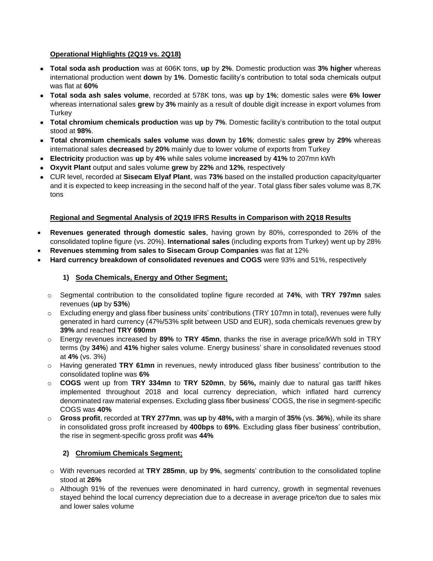## **Operational Highlights (2Q19 vs. 2Q18)**

- **Total soda ash production** was at 606K tons, **up** by **2%**. Domestic production was **3% higher** whereas international production went **down** by **1%**. Domestic facility's contribution to total soda chemicals output was flat at **60%**
- **Total soda ash sales volume**, recorded at 578K tons, was **up** by **1%**; domestic sales were **6% lower** whereas international sales **grew** by **3%** mainly as a result of double digit increase in export volumes from **Turkey**
- **Total chromium chemicals production** was **up** by **7%**. Domestic facility's contribution to the total output stood at **98%**.
- **Total chromium chemicals sales volume** was **down** by **16%**; domestic sales **grew** by **29%** whereas international sales **decreased** by **20%** mainly due to lower volume of exports from Turkey
- **Electricity** production was **up** by **4%** while sales volume **increased** by **41%** to 207mn kWh
- **Oxyvit Plant** output and sales volume **grew** by **22%** and **12%**, respectively
- CUR level, recorded at **Sisecam Elyaf Plant**, was **73%** based on the installed production capacity/quarter and it is expected to keep increasing in the second half of the year. Total glass fiber sales volume was 8,7K tons

## **Regional and Segmental Analysis of 2Q19 IFRS Results in Comparison with 2Q18 Results**

- **Revenues generated through domestic sales**, having grown by 80%, corresponded to 26% of the consolidated topline figure (vs. 20%). **International sales** (including exports from Turkey) went up by 28%
- **Revenues stemming from sales to Sisecam Group Companies** was flat at 12%
- **Hard currency breakdown of consolidated revenues and COGS** were 93% and 51%, respectively
	- **1) Soda Chemicals, Energy and Other Segment;**
	- o Segmental contribution to the consolidated topline figure recorded at **74%**, with **TRY 797mn** sales revenues (**up** by **53%**)
	- $\circ$  Excluding energy and glass fiber business units' contributions (TRY 107mn in total), revenues were fully generated in hard currency (47%/53% split between USD and EUR), soda chemicals revenues grew by **39%** and reached **TRY 690mn**
	- o Energy revenues increased by **89%** to **TRY 45mn**, thanks the rise in average price/kWh sold in TRY terms (by **34%**) and **41%** higher sales volume. Energy business' share in consolidated revenues stood at **4%** (vs. 3%)
	- o Having generated **TRY 61mn** in revenues, newly introduced glass fiber business' contribution to the consolidated topline was **6%**
	- o **COGS** went up from **TRY 334mn** to **TRY 520mn**, by **56%,** mainly due to natural gas tariff hikes implemented throughout 2018 and local currency depreciation, which inflated hard currency denominated raw material expenses. Excluding glass fiber business' COGS, the rise in segment-specific COGS was **40%**
	- o **Gross profit**, recorded at **TRY 277mn**, was **up** by **48%,** with a margin of **35%** (vs. **36%**), while its share in consolidated gross profit increased by **400bps** to **69%**. Excluding glass fiber business' contribution, the rise in segment-specific gross profit was **44%**

## **2) Chromium Chemicals Segment;**

- o With revenues recorded at **TRY 285mn**, **up** by **9%**, segments' contribution to the consolidated topline stood at **26%**
- o Although 91% of the revenues were denominated in hard currency, growth in segmental revenues stayed behind the local currency depreciation due to a decrease in average price/ton due to sales mix and lower sales volume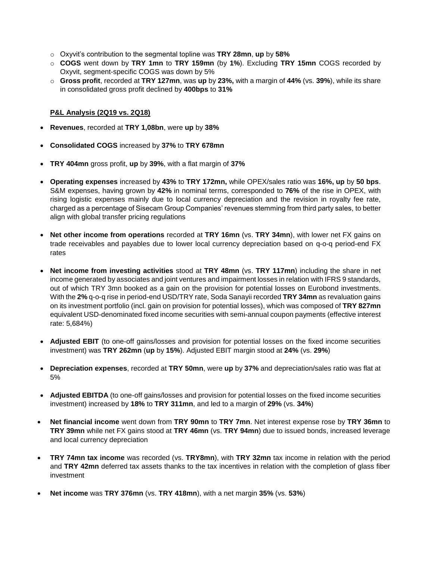- o Oxyvit's contribution to the segmental topline was **TRY 28mn**, **up** by **58%**
- o **COGS** went down by **TRY 1mn** to **TRY 159mn** (by **1%**). Excluding **TRY 15mn** COGS recorded by Oxyvit, segment-specific COGS was down by 5%
- o **Gross profit**, recorded at **TRY 127mn**, was **up** by **23%,** with a margin of **44%** (vs. **39%**), while its share in consolidated gross profit declined by **400bps** to **31%**

## **P&L Analysis (2Q19 vs. 2Q18)**

- **Revenues**, recorded at **TRY 1,08bn**, were **up** by **38%**
- **Consolidated COGS** increased by **37%** to **TRY 678mn**
- **TRY 404mn** gross profit, **up** by **39%**, with a flat margin of **37%**
- **Operating expenses** increased by **43%** to **TRY 172mn,** while OPEX/sales ratio was **16%, up** by **50 bps**. S&M expenses, having grown by **42%** in nominal terms, corresponded to **76%** of the rise in OPEX, with rising logistic expenses mainly due to local currency depreciation and the revision in royalty fee rate, charged as a percentage of Sisecam Group Companies' revenues stemming from third party sales, to better align with global transfer pricing regulations
- **Net other income from operations** recorded at **TRY 16mn** (vs. **TRY 34mn**), with lower net FX gains on trade receivables and payables due to lower local currency depreciation based on q-o-q period-end FX rates
- **Net income from investing activities** stood at **TRY 48mn** (vs. **TRY 117mn**) including the share in net income generated by associates and joint ventures and impairment losses in relation with IFRS 9 standards, out of which TRY 3mn booked as a gain on the provision for potential losses on Eurobond investments. With the **2%** q-o-q rise in period-end USD/TRY rate, Soda Sanayii recorded **TRY 34mn** as revaluation gains on its investment portfolio (incl. gain on provision for potential losses), which was composed of **TRY 827mn**  equivalent USD-denominated fixed income securities with semi-annual coupon payments (effective interest rate: 5,684%)
- **Adjusted EBIT** (to one-off gains/losses and provision for potential losses on the fixed income securities investment) was **TRY 262mn** (**up** by **15%**). Adjusted EBIT margin stood at **24%** (vs. **29%**)
- **Depreciation expenses**, recorded at **TRY 50mn**, were **up** by **37%** and depreciation/sales ratio was flat at 5%
- **Adjusted EBITDA** (to one-off gains/losses and provision for potential losses on the fixed income securities investment) increased by **18%** to **TRY 311mn**, and led to a margin of **29%** (vs. **34%**)
- **Net financial income** went down from **TRY 90mn** to **TRY 7mn**. Net interest expense rose by **TRY 36mn** to **TRY 39mn** while net FX gains stood at **TRY 46mn** (vs. **TRY 94mn**) due to issued bonds, increased leverage and local currency depreciation
- **TRY 74mn tax income** was recorded (vs. **TRY8mn**), with **TRY 32mn** tax income in relation with the period and **TRY 42mn** deferred tax assets thanks to the tax incentives in relation with the completion of glass fiber investment
- **Net income** was **TRY 376mn** (vs. **TRY 418mn**), with a net margin **35%** (vs. **53%**)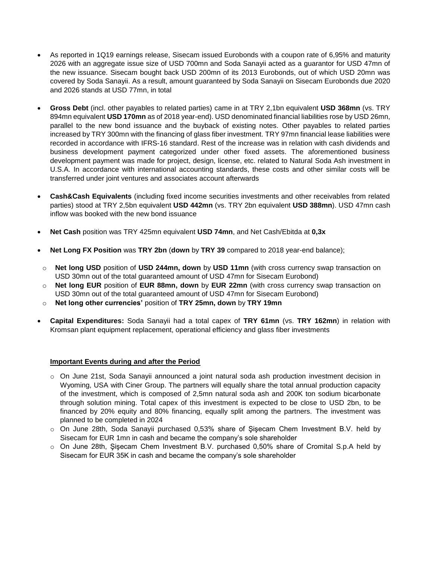- As reported in 1Q19 earnings release, Sisecam issued Eurobonds with a coupon rate of 6,95% and maturity 2026 with an aggregate issue size of USD 700mn and Soda Sanayii acted as a guarantor for USD 47mn of the new issuance. Sisecam bought back USD 200mn of its 2013 Eurobonds, out of which USD 20mn was covered by Soda Sanayii. As a result, amount guaranteed by Soda Sanayii on Sisecam Eurobonds due 2020 and 2026 stands at USD 77mn, in total
- **Gross Debt** (incl. other payables to related parties) came in at TRY 2,1bn equivalent **USD 368mn** (vs. TRY 894mn equivalent **USD 170mn** as of 2018 year-end). USD denominated financial liabilities rose by USD 26mn, parallel to the new bond issuance and the buyback of existing notes. Other payables to related parties increased by TRY 300mn with the financing of glass fiber investment. TRY 97mn financial lease liabilities were recorded in accordance with IFRS-16 standard. Rest of the increase was in relation with cash dividends and business development payment categorized under other fixed assets. The aforementioned business development payment was made for project, design, license, etc. related to Natural Soda Ash investment in U.S.A. In accordance with international accounting standards, these costs and other similar costs will be transferred under joint ventures and associates account afterwards
- **Cash&Cash Equivalents** (including fixed income securities investments and other receivables from related parties) stood at TRY 2,5bn equivalent **USD 442mn** (vs. TRY 2bn equivalent **USD 388mn**). USD 47mn cash inflow was booked with the new bond issuance
- **Net Cash** position was TRY 425mn equivalent **USD 74mn**, and Net Cash/Ebitda at **0,3x**
- **Net Long FX Position** was **TRY 2bn** (**down** by **TRY 39** compared to 2018 year-end balance);
- o **Net long USD** position of **USD 244mn, down** by **USD 11mn** (with cross currency swap transaction on USD 30mn out of the total guaranteed amount of USD 47mn for Sisecam Eurobond)
- o **Net long EUR** position of **EUR 88mn, down** by **EUR 22mn** (with cross currency swap transaction on USD 30mn out of the total guaranteed amount of USD 47mn for Sisecam Eurobond)
- o **Net long other currencies'** position of **TRY 25mn, down** by **TRY 19mn**
- **Capital Expenditures:** Soda Sanayii had a total capex of **TRY 61mn** (vs. **TRY 162mn**) in relation with Kromsan plant equipment replacement, operational efficiency and glass fiber investments

#### **Important Events during and after the Period**

- o On June 21st, Soda Sanayii announced a joint natural soda ash production investment decision in Wyoming, USA with Ciner Group. The partners will equally share the total annual production capacity of the investment, which is composed of 2,5mn natural soda ash and 200K ton sodium bicarbonate through solution mining. Total capex of this investment is expected to be close to USD 2bn, to be financed by 20% equity and 80% financing, equally split among the partners. The investment was planned to be completed in 2024
- o On June 28th, Soda Sanayii purchased 0,53% share of Şişecam Chem Investment B.V. held by Sisecam for EUR 1mn in cash and became the company's sole shareholder
- o On June 28th, Şişecam Chem Investment B.V. purchased 0,50% share of Cromital S.p.A held by Sisecam for EUR 35K in cash and became the company's sole shareholder